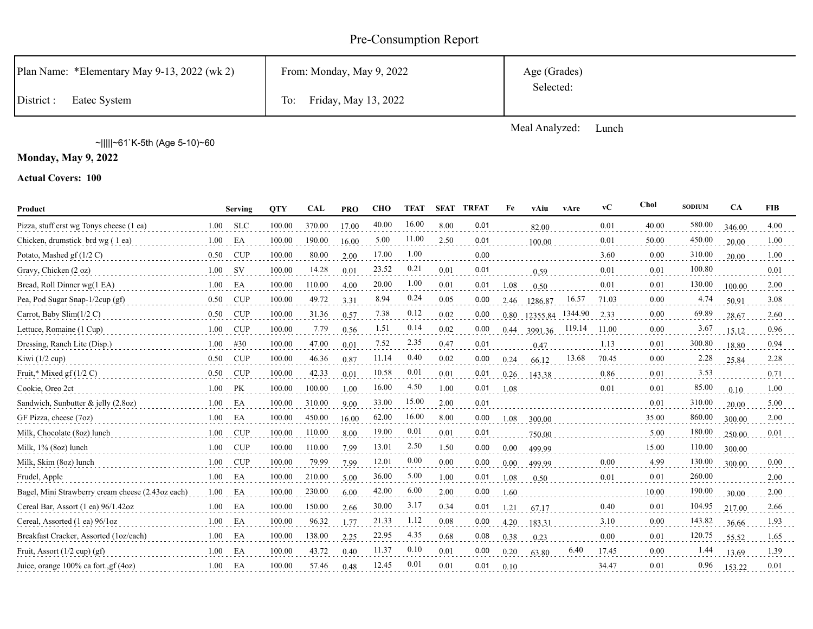# Pre-Consumption Report

| Plan Name: *Elementary May 9-13, 2022 (wk 2) | From: Monday, May 9, 2022   | Age (Grades)<br>Selected: |
|----------------------------------------------|-----------------------------|---------------------------|
| District:<br>Eatec System                    | Friday, May 13, 2022<br>To: |                           |
|                                              |                             |                           |

Meal Analyzed: Lunch

~|||||~61`K-5th (Age 5-10)~60

**Monday, May 9, 2022**

| Product                                           |      | <b>Serving</b> | <b>OTY</b> | <b>CAL</b> | <b>PRO</b> | <b>CHO</b> | <b>TFAT</b> | <b>SFAT</b> | TRFAT | Fe   | vAiu     | vAre    | vC    | Chol     | <b>SODIUM</b> | <b>CA</b> | <b>FIB</b> |
|---------------------------------------------------|------|----------------|------------|------------|------------|------------|-------------|-------------|-------|------|----------|---------|-------|----------|---------------|-----------|------------|
| Pizza, stuff crst wg Tonys cheese (1 ea)          | 1.00 | <b>SLC</b>     | 100.00     | 370.00     | 17.00      | 40.00      | 16.00       | 8.00        | 0.01  |      | 82.00    |         | 0.01  | 40.00    | 580.00        | 346.00    | 4.00       |
| Chicken, drumstick brd wg (1 ea)                  | 1.00 | EA             | 100.00     | 190.00     | 16.00      | 5.00       | 11.00       | 2.50        | 0.01  |      | 100.00   |         | 0.01  | 50.00    | 450.00        | 20.00     | 1.00       |
| Potato, Mashed $gf(1/2 C)$                        | 0.50 | <b>CUP</b>     | 100.00     | 80.00      | 2.00       | 17.00      | 1.00        |             | 0.00  |      |          |         | 3.60  | 0.00     | 310.00        | 20.00     | 1.00       |
| Gravy, Chicken (2 oz)                             | 1.00 | <b>SV</b>      | 100.00     | 14.28      | 0.01       | 23.52      | 0.21        | 0.01        | 0.01  |      | 0.59     |         | 0.01  | 0.01     | 100.80        |           | 0.01       |
| Bread, Roll Dinner wg(1 EA)                       | 1.00 | EA             | 100.00     | 110.00     | 4.00       | 20.00      | 1.00        | 0.01        | 0.01  | 1.08 | 0.50     |         | 0.01  | 0.01     | 130.00        | 100.00    | 2.00       |
| Pea, Pod Sugar Snap-1/2cup (gf)                   | 0.50 | <b>CUP</b>     | 100.00     | 49.72      | 3.31       | 8.94       | 0.24        | 0.05        | 0.00  | 2.46 | 1286.87  | 16.57   | 71.03 | 0.00     | 4.74          | 50.91     | 3.08       |
| Carrot, Baby Slim $(1/2 C)$                       | 0.50 | <b>CUP</b>     | 100.00     | 31.36      | 0.57       | 7.38       | 0.12        | 0.02        | 0.00  | 0.80 | 12355.84 | 1344.90 | 2.33  | 0.00     | 69.89         | 28.67     | 2.60       |
| Lettuce, Romaine (1 Cup)                          | 1.00 | <b>CUP</b>     | 100.00     | 7.79       | 0.56       | 1.51       | 0.14        | 0.02        | 0.00  | 0.44 | 3991.36  | 119.14  | 11.00 | $0.00\,$ | 3.67          | 15.12     | 0.96       |
| Dressing, Ranch Lite (Disp.)                      | 1.00 | #30            | 100.00     | 47.00      | 0.01       | 7.52       | 2.35        | 0.47        | 0.01  |      | 0.47     |         | 1.13  | 0.01     | 300.80        | 18.80     | 0.94       |
| Kiwi $(1/2$ cup)                                  | 0.50 | <b>CUP</b>     | 100.00     | 46.36      | 0.87       | 11.14      | 0.40        | 0.02        | 0.00  | 0.24 | 66.12    | 13.68   | 70.45 | 0.00     | 2.28          | 25.84     | 2.28       |
| Fruit,* Mixed gf $(1/2 C)$                        | 0.50 | <b>CUP</b>     | 100.00     | 42.33      | 0.01       | 10.58      | 0.01        | 0.01        | 0.01  | 0.26 | 143.38   |         | 0.86  | 0.01     | 3.53          |           | 0.71       |
| Cookie, Oreo 2ct                                  | 1.00 | PK             | 100.00     | 100.00     | 1.00       | 16.00      | 4.50        | 1.00        | 0.01  | 1.08 |          |         | 0.01  | 0.01     | 85.00         | 0.10      | 1.00       |
| Sandwich, Sunbutter $\&$ jelly (2.8oz)            | 1.00 | EA             | 100.00     | 310.00     | 9.00       | 33.00      | 15.00       | 2.00        | 0.01  |      |          |         |       | 0.01     | 310.00        | 20.00     | 5.00       |
| GF Pizza, cheese (7oz)                            | 1.00 | EA             | 100.00     | 450.00     | 16.00      | 62.00      | 16.00       | 8.00        | 0.00  | 1.08 | 300.00   |         |       | 35.00    | 860.00        | 300.00    | 2.00       |
| Milk, Chocolate (8oz) lunch                       | 1.00 | <b>CUP</b>     | 100.00     | 110.00     | 8.00       | 19.00      | 0.01        | 0.01        | 0.01  |      | 750.00   |         |       | 5.00     | 180.00        | 250.00    | 0.01       |
| Milk, 1% (8oz) lunch                              | 1.00 | <b>CUP</b>     | 100.00     | 110.00     | 7.99       | 13.01      | 2.50        | 1.50        | 0.00  | 0.00 | 499.99   |         |       | 15.00    | 110.00        | 300.00    |            |
| Milk, Skim (8oz) lunch                            | 1.00 | <b>CUP</b>     | 100.00     | 79.99      | 7.99       | 12.01      | 0.00        | 0.00        | 0.00  | 0.00 | 499.99   |         | 0.00  | 4.99     | 130.00        | 300.00    | 0.00       |
| Frudel, Apple                                     | 1.00 | EA             | 100.00     | 210.00     | 5.00       | 36.00      | 5.00        | 1.00        | 0.01  | 1.08 | 0.50     |         | 0.01  | 0.01     | 260.00        |           | 2.00       |
| Bagel, Mini Strawberry cream cheese (2.43oz each) | 1.00 | EA             | 100.00     | 230.00     | 6.00       | 42.00      | 6.00        | 2.00        | 0.00  | 1.60 |          |         |       | 10.00    | 190.00        | 30.00     | 2.00       |
| Cereal Bar, Assort (1 ea) 96/1.42oz               | 1.00 | EA             | 100.00     | 150.00     | 2.66       | 30.00      | 3.17        | 0.34        | 0.01  | 1.21 | 67.17    |         | 0.40  | 0.01     | 104.95        | 217.00    | 2.66       |
| Cereal, Assorted (1 ea) 96/1oz                    | 1.00 | EA             | 100.00     | 96.32      | 1.77       | 21.33      | 1.12        | 0.08        | 0.00  | 4.20 | 183.31   |         | 3.10  | $0.00\,$ | 143.82        | 36.66     | 1.93       |
| Breakfast Cracker, Assorted (1oz/each)            | 1.00 | EA             | 100.00     | 138.00     | 2.25       | 22.95      | 4.35        | 0.68        | 0.08  | 0.38 | 0.23     |         | 0.00  | 0.01     | 120.75        | 55.52     | 1.65       |
| Fruit, Assort $(1/2$ cup) $(gf)$                  | 1.00 | EA             | 100.00     | 43.72      | 0.40       | 11.37      | 0.10        | 0.01        | 0.00  | 0.20 | 63.80    | 6.40    | 17.45 | $0.00\,$ | 1.44          | 13.69     | 1.39       |
| Juice, orange 100% ca fort., gf (4oz)             | 1.00 | EA             | 100.00     | 57.46      | 0.48       | 12.45      | 0.01        | 0.01        | 0.01  | 0.10 |          |         | 34.47 | 0.01     | 0.96          | 153.22    | 0.01       |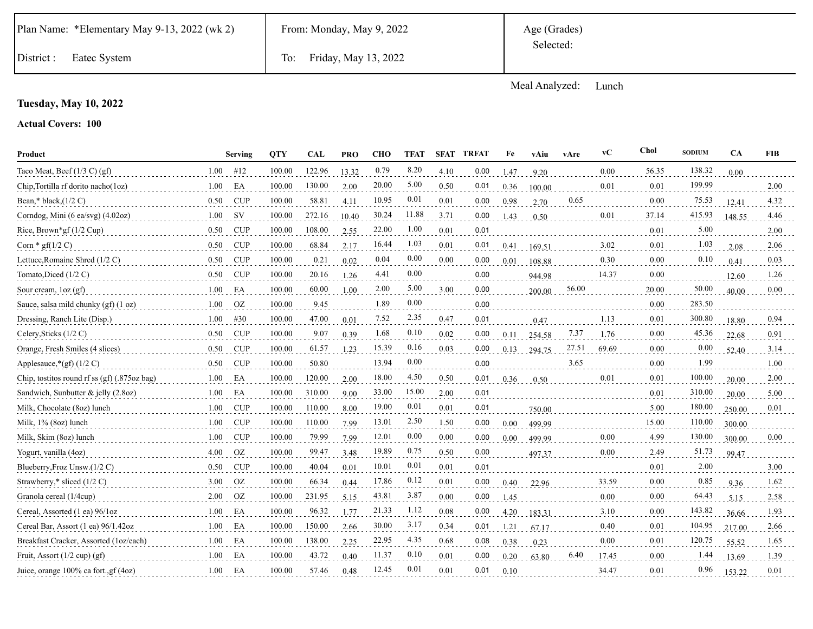|  | Plan Name: *Elementary May 9-13, 2022 (wk 2) |  |  |  |
|--|----------------------------------------------|--|--|--|
|--|----------------------------------------------|--|--|--|

District : Eatec System To: Friday, May 13, 2022

Meal Analyzed: Lunch

## **Tuesday, May 10, 2022**

| Product                                      |      | Serving    | <b>OTY</b> | CAL    | <b>PRO</b> | <b>CHO</b> | <b>TFAT</b> | <b>SFAT</b> | <b>TRFAT</b> | Fe       | vAiu   | vAre  | vC    | <b>Chol</b> | <b>SODIUM</b> | CA     | <b>FIB</b> |
|----------------------------------------------|------|------------|------------|--------|------------|------------|-------------|-------------|--------------|----------|--------|-------|-------|-------------|---------------|--------|------------|
| Taco Meat, Beef $(1/3 C)$ (gf)               | 1.00 | #12        | 100.00     | 122.96 | 13.32      | 0.79       | 8.20        | 4.10        | 0.00         | 1.47     | 9.20   |       | 0.00  | 56.35       | 138.32        | 0.00   |            |
| Chip, Tortilla rf dorito nacho(1oz)          | 1.00 | EA         | 100.00     | 130.00 | 2.00       | 20.00      | 5.00        | 0.50        | 0.01         | 0.36     | 100.00 |       | 0.01  | 0.01        | 199.99        |        | 2.00       |
| Bean,* black, $(1/2 C)$                      | 0.50 | <b>CUP</b> | 100.00     | 58.81  | 4.11       | 10.95      | 0.01        | 0.01        | 0.00         | 0.98     | 2.70   | 0.65  |       | 0.00        | 75.53         | 12.41  | 4.32       |
| Corndog, Mini (6 ea/svg) (4.02oz)            | 1.00 | <b>SV</b>  | 100.00     | 272.16 | 10.40      | 30.24      | 11.88       | 3.71        | 0.00         | 1.43     | 0.50   |       | 0.01  | 37.14       | 415.93        | 148.55 | 4.46       |
| Rice, Brown*gf $(1/2 \text{ Cup})$           | 0.50 | <b>CUP</b> | 100.00     | 108.00 | 2.55       | 22.00      | 1.00        | 0.01        | 0.01         |          |        |       |       | 0.01        | 5.00          |        | 2.00       |
| Corn * $gf(1/2 C)$                           | 0.50 | <b>CUP</b> | 100.00     | 68.84  | 2.17       | 16.44      | 1.03        | 0.01        | 0.01         | 0.41     | 169.51 |       | 3.02  | 0.01        | 1.03          | 2.08   | 2.06       |
| Lettuce, Romaine Shred (1/2 C)               | 0.50 | <b>CUP</b> | 100.00     | 0.21   | 0.02       | 0.04       | 0.00        | 0.00        | 0.00         | 0.01     | 108.88 |       | 0.30  | 0.00        | 0.10          | 0.41   | 0.03       |
| Tomato, Diced (1/2 C)                        | 0.50 | <b>CUP</b> | 100.00     | 20.16  | 1.26       | 4.41       | 0.00        |             | 0.00         |          | 944.98 |       | 14.37 | 0.00        |               | 12.60  | 1.26       |
| Sour cream, $\log$ (gf)                      | 1.00 | EA         | 100.00     | 60.00  | 1.00       | 2.00       | 5.00        | 3.00        | 0.00         |          | 200.00 | 56.00 |       | 20.00       | 50.00         | 40.00  | 0.00       |
| Sauce, salsa mild chunky (gf) (1 oz)         | 1.00 | OZ         | 100.00     | 9.45   |            | 1.89       | 0.00        |             | 0.00         |          |        |       |       | 0.00        | 283.50        |        |            |
| Dressing, Ranch Lite (Disp.)                 | 1.00 | #30        | 100.00     | 47.00  | 0.01       | 7.52       | 2.35        | 0.47        | 0.01         |          | 0.47   |       | 1.13  | 0.01        | 300.80        | 18.80  | 0.94       |
| Celery, Sticks (1/2 C)                       | 0.50 | <b>CUP</b> | 100.00     | 9.07   | 0.39       | 1.68       | 0.10        | 0.02        | 0.00         | 0.11     | 254.58 | 7.37  | 1.76  | 0.00        | 45.36         | 22.68  | 0.91       |
| Orange, Fresh Smiles (4 slices)              | 0.50 | <b>CUP</b> | 100.00     | 61.57  | 1.23       | 15.39      | 0.16        | 0.03        | 0.00         | 0.13     | 294.75 | 27.51 | 69.69 | 0.00        | 0.00          | 52.40  | 3.14       |
| Applesauce,*(gf) (1/2 C)                     | 0.50 | <b>CUP</b> | 100.00     | 50.80  |            | 13.94      | 0.00        |             | 0.00         |          |        | 3.65  |       | 0.00        | 1.99          |        | 1.00       |
| Chip, tostitos round rf ss (gf) (.875oz bag) | 1.00 | EA         | 100.00     | 120.00 | 2.00       | 18.00      | 4.50        | 0.50        | 0.01         | 0.36     | 0.50   |       | 0.01  | 0.01        | 100.00        | 20.00  | 2.00       |
| Sandwich, Sunbutter & jelly $(2.8oz)$        | 1.00 | EA         | 100.00     | 310.00 | 9.00       | 33.00      | 15.00       | 2.00        | 0.01         |          |        |       |       | 0.01        | 310.00        | 20.00  | 5.00       |
| Milk, Chocolate (8oz) lunch                  | 1.00 | <b>CUP</b> | 100.00     | 110.00 | 8.00       | 19.00      | 0.01        | 0.01        | 0.01         |          | 750.00 |       |       | 5.00        | 180.00        | 250.00 | 0.01       |
| Milk, 1% (8oz) lunch                         | 1.00 | <b>CUP</b> | 100.00     | 110.00 | 7.99       | 13.01      | 2.50        | 1.50        | 0.00         | $0.00\,$ | 499.99 |       |       | 15.00       | 110.00        | 300.00 |            |
| Milk, Skim (8oz) lunch                       | 1.00 | <b>CUP</b> | 100.00     | 79.99  | 7.99       | 12.01      | 0.00        | 0.00        | 0.00         | 0.00     | 499.99 |       | 0.00  | 4.99        | 130.00        | 300.00 | 0.00       |
| Yogurt, vanilla (4oz)                        | 4.00 | <b>OZ</b>  | 100.00     | 99.47  | 3.48       | 19.89      | 0.75        | 0.50        | 0.00         |          | 497.37 |       | 0.00  | 2.49        | 51.73         | 99.47  |            |
| Blueberry, Froz Unsw. (1/2 C)                | 0.50 | <b>CUP</b> | 100.00     | 40.04  | 0.01       | 10.01      | 0.01        | 0.01        | 0.01         |          |        |       |       | 0.01        | 2.00          |        | 3.00       |
| Strawberry,* sliced (1/2 C)                  | 3.00 | OZ         | 100.00     | 66.34  | 0.44       | 17.86      | 0.12        | 0.01        | 0.00         | 0.40     | 22.96  |       | 33.59 | 0.00        | 0.85          | 9.36   | 1.62       |
| Granola cereal (1/4cup)                      | 2.00 | OZ         | 100.00     | 231.95 | 5.15       | 43.81      | 3.87        | 0.00        | 0.00         | 1.45     |        |       | 0.00  | 0.00        | 64.43         | 5.15   | 2.58       |
| Cereal, Assorted (1 ea) 96/1oz               | 1.00 | EA         | 100.00     | 96.32  | 1.77       | 21.33      | 1.12        | 0.08        | 0.00         | 4.20     | 183.31 |       | 3.10  | 0.00        | 143.82        | 36.66  | 1.93       |
| Cereal Bar, Assort (1 ea) 96/1.42oz          | 1.00 | EA         | 100.00     | 150.00 | 2.66       | 30.00      | 3.17        | 0.34        | 0.01         | 1.21     | 67.17  |       | 0.40  | 0.01        | 104.95        | 217.00 | 2.66       |
| Breakfast Cracker, Assorted (1oz/each)       | 1.00 | EA         | 100.00     | 138.00 | 2.25       | 22.95      | 4.35        | 0.68        | 0.08         | 0.38     | 0.23   |       | 0.00  | 0.01        | 120.75        | 55.52  | 1.65       |
| Fruit, Assort $(1/2 \text{ cup}) (gf)$       | 1.00 | EA         | 100.00     | 43.72  | 0.40       | 11.37      | 0.10        | 0.01        | 0.00         | 0.20     | 63.80  | 6.40  | 17.45 | 0.00        | 1.44          | 13.69  | 1.39       |
| Juice, orange 100% ca fort., gf (4oz)        | 1.00 | EA         | 100.00     | 57.46  | 0.48       | 12.45      | 0.01        | 0.01        | 0.01         | 0.10     |        |       | 34.47 | 0.01        | 0.96          | 153.22 | 0.01       |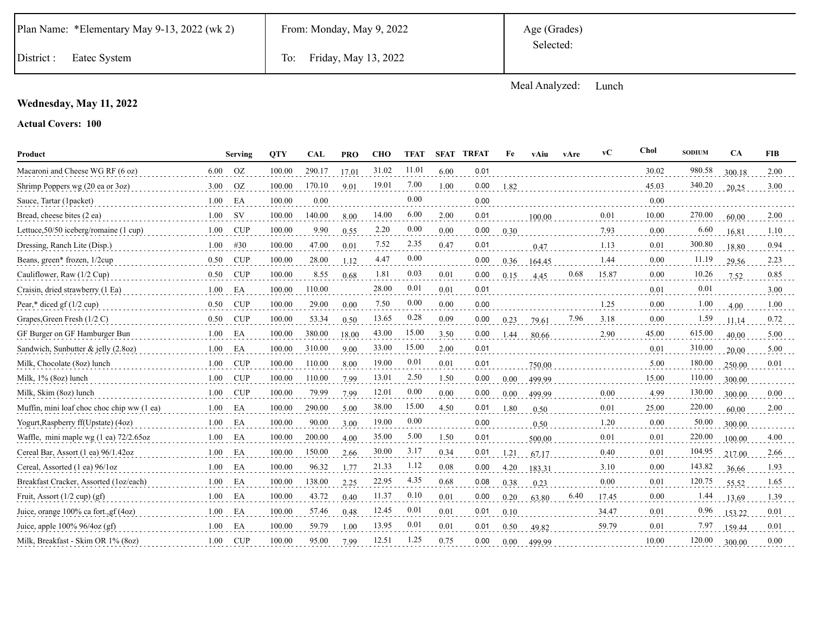|  | Plan Name: *Elementary May 9-13, 2022 (wk 2) |  |  |  |  |
|--|----------------------------------------------|--|--|--|--|
|--|----------------------------------------------|--|--|--|--|

Meal Analyzed: Lunch

## **Wednesday, May 11, 2022**

| Product                                    |      | <b>Serving</b> | <b>OTY</b> | <b>CAL</b> | <b>PRO</b> | <b>CHO</b> | <b>TFAT</b> | <b>SFAT</b> | <b>TRFAT</b> | Fe   | vAiu   | vAre | vC    | Chol  | <b>SODIUM</b> | <b>CA</b> | <b>FIB</b> |
|--------------------------------------------|------|----------------|------------|------------|------------|------------|-------------|-------------|--------------|------|--------|------|-------|-------|---------------|-----------|------------|
| Macaroni and Cheese WG RF (6 oz)           | 6.00 | <b>OZ</b>      | 100.00     | 290.17     | 17.01      | 31.02      | 11.01       | 6.00        | 0.01         |      |        |      |       | 30.02 | 980.58        | 300.18    | 2.00       |
| Shrimp Poppers wg (20 ea or 3oz)           | 3.00 | <b>OZ</b>      | 100.00     | 170.10     | 9.01       | 19.01      | 7.00        | 1.00        | 0.00         | 1.82 |        |      |       | 45.03 | 340.20        | 20.25     | 3.00       |
| Sauce, Tartar (1packet)                    | 1.00 | EA             | 100.00     | 0.00       |            |            | 0.00        |             | 0.00         |      |        |      |       | 0.00  |               |           |            |
| Bread, cheese bites (2 ea)                 | 1.00 | <b>SV</b>      | 100.00     | 140.00     | 8.00       | 14.00      | 6.00        | 2.00        | 0.01         |      | 100.00 |      | 0.01  | 10.00 | 270.00        | 60.00     | 2.00       |
| Lettuce, 50/50 iceberg/romaine (1 cup)     | 1.00 | <b>CUP</b>     | 100.00     | 9.90       | 0.55       | 2.20       | 0.00        | 0.00        | 0.00         | 0.30 |        |      | 7.93  | 0.00  | 6.60          | 16.81     | 1.10       |
| Dressing, Ranch Lite (Disp.)               | 1.00 | #30            | 100.00     | 47.00      | 0.01       | 7.52       | 2.35        | 0.47        | 0.01         |      | 0.47   |      | 1.13  | 0.01  | 300.80        | 18.80     | 0.94       |
| Beans, green* frozen, 1/2cup               | 0.50 | <b>CUP</b>     | 100.00     | 28.00      | 1.12       | 4.47       | 0.00        |             | 0.00         | 0.36 | 164.45 |      | 1.44  | 0.00  | 11.19         | 29.56     | 2.23       |
| Cauliflower, Raw (1/2 Cup)                 | 0.50 | <b>CUP</b>     | 100.00     | 8.55       | 0.68       | 1.81       | 0.03        | 0.01        | 0.00         | 0.15 | 4.45   | 0.68 | 15.87 | 0.00  | 10.26         | 7.52      | 0.85       |
| Craisin, dried strawberry (1 Ea)           | 1.00 | EA             | 100.00     | 110.00     |            | 28.00      | 0.01        | 0.01        | 0.01         |      |        |      |       | 0.01  | 0.01          |           | 3.00       |
| Pear,* diced gf $(1/2$ cup)                | 0.50 | <b>CUP</b>     | 100.00     | 29.00      | 0.00       | 7.50       | 0.00        | 0.00        | 0.00         |      |        |      | 1.25  | 0.00  | 1.00          | 4.00      | 1.00       |
| Grapes, Green Fresh (1/2 C)                | 0.50 | <b>CUP</b>     | 100.00     | 53.34      | 0.50       | 13.65      | 0.28        | 0.09        | 0.00         | 0.23 | 79.61  | 7.96 | 3.18  | 0.00  | 1.59          | 11.14     | 0.72       |
| GF Burger on GF Hamburger Bun              | 1.00 | EA             | 100.00     | 380.00     | 18.00      | 43.00      | 15.00       | 3.50        | 0.00         | 1.44 | 80.66  |      | 2.90  | 45.00 | 615.00        | 40.00     | 5.00       |
| Sandwich, Sunbutter & jelly (2.8oz)        | 1.00 | EA             | 100.00     | 310.00     | 9.00       | 33.00      | 15.00       | 2.00        | 0.01         |      |        |      |       | 0.01  | 310.00        | 20.00     | 5.00       |
| Milk, Chocolate (8oz) lunch                | 1.00 | <b>CUP</b>     | 100.00     | 110.00     | 8.00       | 19.00      | 0.01        | 0.01        | 0.01         |      | 750.00 |      |       | 5.00  | 180.00        | 250.00    | 0.01       |
| Milk, 1% (8oz) lunch                       | 1.00 | <b>CUP</b>     | 100.00     | 110.00     | 7.99       | 13.01      | 2.50        | 1.50        | 0.00         | 0.00 | 499.99 |      |       | 15.00 | 110.00        | 300.00    |            |
| Milk, Skim (80z) lunch                     | 1.00 | <b>CUP</b>     | 100.00     | 79.99      | 7.99       | 12.01      | 0.00        | 0.00        | 0.00         | 0.00 | 499.99 |      | 0.00  | 4.99  | 130.00        | 300.00    | $0.00\,$   |
| Muffin, mini loaf choc choc chip ww (1 ea) | 1.00 | EA             | 100.00     | 290.00     | 5.00       | 38.00      | 15.00       | 4.50        | 0.01         | 1.80 | 0.50   |      | 0.01  | 25.00 | 220.00        | 60.00     | 2.00       |
| Yogurt, Raspberry ff(Upstate) (4oz)        | 1.00 | EA             | 100.00     | 90.00      | 3.00       | 19.00      | 0.00        |             | 0.00         |      | 0.50   |      | 1.20  | 0.00  | 50.00         | 300.00    |            |
| Waffle, mini maple wg (1 ea) 72/2.65oz     | 1.00 | EA             | 100.00     | 200.00     | 4.00       | 35.00      | 5.00        | 1.50        | 0.01         |      | 500.00 |      | 0.01  | 0.01  | 220.00        | 100.00    | 4.00       |
| Cereal Bar, Assort (1 ea) 96/1.42oz        | 1.00 | EA             | 100.00     | 150.00     | 2.66       | 30.00      | 3.17        | 0.34        | 0.01         | 1.21 | 67.17  |      | 0.40  | 0.01  | 104.95        | 217.00    | 2.66       |
| Cereal, Assorted (1 ea) 96/1oz             | 1.00 | EA             | 100.00     | 96.32      | 1.77       | 21.33      | 1.12        | 0.08        | 0.00         | 4.20 | 183.31 |      | 3.10  | 0.00  | 143.82        | 36.66     | 1.93       |
| Breakfast Cracker, Assorted (1oz/each)     | 1.00 | EA             | 100.00     | 138.00     | 2.25       | 22.95      | 4.35        | 0.68        | 0.08         | 0.38 | 0.23   |      | 0.00  | 0.01  | 120.75        | 55.52     | 1.65       |
| Fruit, Assort $(1/2 \text{ cup}) (gf)$     | 1.00 | EA             | 100.00     | 43.72      | 0.40       | 11.37      | 0.10        | 0.01        | 0.00         | 0.20 | 63.80  | 6.40 | 17.45 | 0.00  | 1.44          | 13.69     | 1.39       |
| Juice, orange 100% ca fort., gf (4oz)      | 1.00 | EA             | 100.00     | 57.46      | 0.48       | 12.45      | 0.01        | 0.01        | 0.01         | 0.10 |        |      | 34.47 | 0.01  | 0.96          | 153.22    | 0.01       |
| Juice, apple $100\%$ 96/4oz (gf)           | 1.00 | EA             | 100.00     | 59.79      | 1.00       | 13.95      | 0.01        | 0.01        | 0.01         | 0.50 | 49.82  |      | 59.79 | 0.01  | 7.97          | 159.44    | 0.01       |
| Milk, Breakfast - Skim OR 1% (80z)         | 1.00 | <b>CUP</b>     | 100.00     | 95.00      | 7.99       | 12.51      | 1.25        | 0.75        | 0.00         | 0.00 | 499.99 |      |       | 10.00 | 120.00        | 300.00    | 0.00       |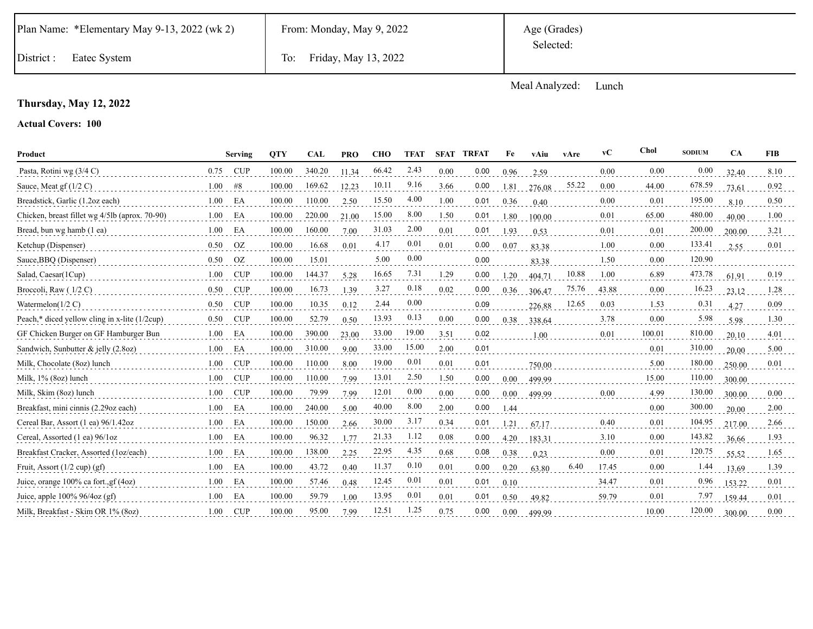|  | Plan Name: *Elementary May 9-13, 2022 (wk 2) |  |  |  |  |
|--|----------------------------------------------|--|--|--|--|
|--|----------------------------------------------|--|--|--|--|

District : Eatec System To: Friday, May 13, 2022

Meal Analyzed: Lunch

## **Thursday, May 12, 2022**

| Product                                        |      | Serving       | <b>OTY</b> | <b>CAL</b> | <b>PRO</b> | <b>CHO</b> | <b>TFAT</b> | <b>SFAT</b> | <b>TRFAT</b> | Fe   | vAiu   | vAre  | vC    | Chol   | <b>SODIUM</b> | <b>CA</b> | <b>FIB</b> |
|------------------------------------------------|------|---------------|------------|------------|------------|------------|-------------|-------------|--------------|------|--------|-------|-------|--------|---------------|-----------|------------|
| Pasta, Rotini wg (3/4 C)                       | 0.75 | CUP           | 100.00     | 340.20     | 11.34      | 66.42      | 2.43        | 0.00        | 0.00         | 0.96 | 2.59   |       | 0.00  | 0.00   | 0.00          | 32.40     | 8.10       |
| Sauce, Meat gf $(1/2 C)$                       | 1.00 | #8            | 100.00     | 169.62     | 12.23      | 10.11      | 9.16        | 3.66        | 0.00         | 1.81 | 276.08 | 55.22 | 0.00  | 44.00  | 678.59        | 73.61     | 0.92       |
| Breadstick, Garlic (1.2oz each)                | 1.00 | EA            | 100.00     | 110.00     | 2.50       | 15.50      | 4.00        | 1.00        | 0.01         | 0.36 | 0.40   |       | 0.00  | 0.01   | 195.00        | 8.10      | 0.50       |
| Chicken, breast fillet wg 4/5lb (aprox. 70-90) | 1.00 | EA            | 100.00     | 220.00     | 21.00      | 15.00      | 8.00        | 1.50        | 0.01         | 1.80 | 100.00 |       | 0.01  | 65.00  | 480.00        | 40.00     | 1.00       |
| Bread, bun wg hamb (1 ea)                      | 1.00 | EA            | 100.00     | 160.00     | 7.00       | 31.03      | 2.00        | 0.01        | 0.01         | 1.93 | 0.53   |       | 0.01  | 0.01   | 200.00        | 200.00    | 3.21       |
| Ketchup (Dispenser)                            | 0.50 | <sub>OZ</sub> | 100.00     | 16.68      | 0.01       | 4.17       | 0.01        | 0.01        | 0.00         | 0.07 | 83.38  |       | 1.00  | 0.00   | 133.41        | 2.55      | 0.01       |
| Sauce, BBQ (Dispenser)                         | 0.50 | <b>OZ</b>     | 100.00     | 15.01      |            | 5.00       | 0.00        |             | 0.00         |      | 83.38  |       | 1.50  | 0.00   | 120.90        |           |            |
| Salad, Caesar(1Cup)                            | 1.00 | <b>CUP</b>    | 100.00     | 144.37     | 5.28       | 16.65      | 7.31        | 1.29        | 0.00         | 1.20 | 404.71 | 10.88 | 1.00  | 6.89   | 473.78        | 61.91     | 0.19       |
| Broccoli, Raw (1/2 C)                          | 0.50 | <b>CUP</b>    | 100.00     | 16.73      | 1.39       | 3.27       | 0.18        | 0.02        | 0.00         | 0.36 | 306.47 | 75.76 | 43.88 | 0.00   | 16.23         | 23.12     | 1.28       |
| Watermelon( $1/2$ C)                           | 0.50 | <b>CUP</b>    | 100.00     | 10.35      | 0.12       | 2.44       | 0.00        |             | 0.09         |      | 226.88 | 12.65 | 0.03  | 1.53   | 0.31          | 4.27      | 0.09       |
| Peach,* diced yellow cling in x-lite (1/2cup)  | 0.50 | <b>CUP</b>    | 100.00     | 52.79      | 0.50       | 13.93      | 0.13        | 0.00        | 0.00         | 0.38 | 338.64 |       | 3.78  | 0.00   | 5.98          | 5.98      | 1.30       |
| GF Chicken Burger on GF Hamburger Bun          | 1.00 | EA            | 100.00     | 390.00     | 23.00      | 33.00      | 19.00       | 3.51        | 0.02         |      | 1.00   |       | 0.01  | 100.01 | 810.00        | 20.10     | 4.01       |
| Sandwich, Sunbutter & jelly (2.8oz)            | 1.00 | EA            | 100.00     | 310.00     | 9.00       | 33.00      | 15.00       | 2.00        | 0.01         |      |        |       |       | 0.01   | 310.00        | 20.00     | 5.00       |
| Milk, Chocolate (8oz) lunch                    | 1.00 | <b>CUP</b>    | 100.00     | 110.00     | 8.00       | 19.00      | 0.01        | 0.01        | 0.01         |      | 750.00 |       |       | 5.00   | 180.00        | 250.00    | 0.01       |
| Milk, 1% (8oz) lunch                           | 1.00 | <b>CUP</b>    | 100.00     | 110.00     | 7.99       | 13.01      | 2.50        | 1.50        | 0.00         | 0.00 | 499.99 |       |       | 15.00  | 110.00        | 300.00    |            |
| Milk, Skim (8oz) lunch                         | 1.00 | CUP           | 100.00     | 79.99      | 7.99       | 12.01      | 0.00        | 0.00        | 0.00         | 0.00 | 499.99 |       | 0.00  | 4.99   | 130.00        | 300.00    | 0.00       |
| Breakfast, mini cinnis (2.29oz each)           | 1.00 | EA            | 100.00     | 240.00     | 5.00       | 40.00      | 8.00        | 2.00        | 0.00         | 1.44 |        |       |       | 0.00   | 300.00        | 20.00     | 2.00       |
| Cereal Bar, Assort (1 ea) 96/1.42oz            | 1.00 | EA            | 100.00     | 150.00     | 2.66       | 30.00      | 3.17        | 0.34        | 0.01         | 1.21 | 67.17  |       | 0.40  | 0.01   | 104.95        | 217.00    | 2.66       |
| Cereal, Assorted (1 ea) 96/1oz                 | 1.00 | EA            | 100.00     | 96.32      | 1.77       | 21.33      | 1.12        | 0.08        | 0.00         | 4.20 | 183.31 |       | 3.10  | 0.00   | 143.82        | 36.66     | 1.93       |
| Breakfast Cracker, Assorted (1oz/each)         | 1.00 | EA            | 100.00     | 138.00     | 2.25       | 22.95      | 4.35        | 0.68        | 0.08         | 0.38 | 0.23   |       | 0.00  | 0.01   | 120.75        | 55.52     | 1.65       |
| Fruit, Assort $(1/2$ cup) $(gf)$               | 1.00 | EA            | 100.00     | 43.72      | 0.40       | 11.37      | 0.10        | 0.01        | 0.00         | 0.20 | 63.80  | 6.40  | 17.45 | 0.00   | 1.44          | 13.69     | 1.39       |
| Juice, orange $100\%$ ca fort., gf $(4oz)$     | 1.00 | EA            | 100.00     | 57.46      | 0.48       | 12.45      | 0.01        | 0.01        | 0.01         | 0.10 |        |       | 34.47 | 0.01   | 0.96          | 153.22    | 0.01       |
| Juice, apple $100\%$ 96/4oz (gf)               | 1.00 | EA            | 100.00     | 59.79      | 1.00       | 13.95      | 0.01        | 0.01        | 0.01         | 0.50 | 49.82  |       | 59.79 | 0.01   | 7.97          | 159.44    | 0.01       |
| Milk, Breakfast - Skim OR 1% (80z)             | 1.00 | <b>CUP</b>    | 100.00     | 95.00      | 7.99       | 12.51      | 1.25        | 0.75        | 0.00         | 0.00 | 499.99 |       |       | 10.00  | 120.00        | 300.00    | 0.00       |